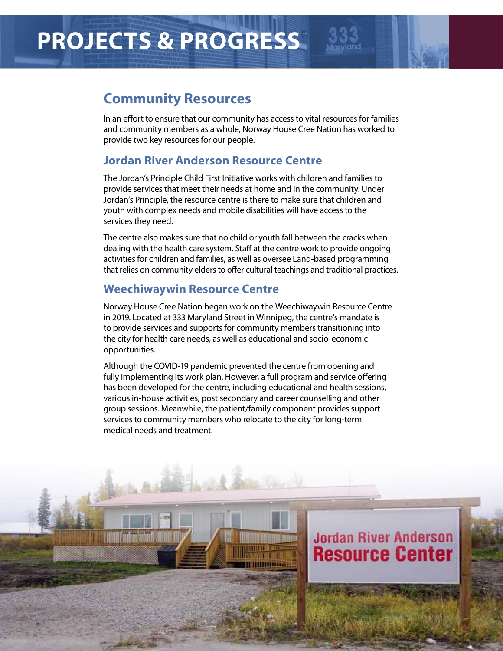# **PROJECTS & PROGRESS**

## **Community Resources**

In an effort to ensure that our community has access to vital resources for families and community members as a whole, Norway House Cree Nation has worked to provide two key resources for our people.

### **Jordan River Anderson Resource Centre**

The Jordan's Principle Child First Initiative works with children and families to provide services that meet their needs at home and in the community. Under Jordan's Principle, the resource centre is there to make sure that children and youth with complex needs and mobile disabilities will have access to the services they need.

The centre also makes sure that no child or youth fall between the cracks when dealing with the health care system. Staff at the centre work to provide ongoing activities for children and families, as well as oversee Land-based programming that relies on community elders to offer cultural teachings and traditional practices.

### **Weechiwaywin Resource Centre**

Norway House Cree Nation began work on the Weechiwaywin Resource Centre in 2019. Located at 333 Maryland Street in Winnipeg, the centre's mandate is to provide services and supports for community members transitioning into the city for health care needs, as well as educational and socio-economic opportunities.

Although the COVID-19 pandemic prevented the centre from opening and fully implementing its work plan. However, a full program and service offering has been developed for the centre, including educational and health sessions, various in-house activities, post secondary and career counselling and other group sessions. Meanwhile, the patient/family component provides support services to community members who relocate to the city for long-term medical needs and treatment.

**HILBERT** 

## **Jordan River Anderson Resource Center**